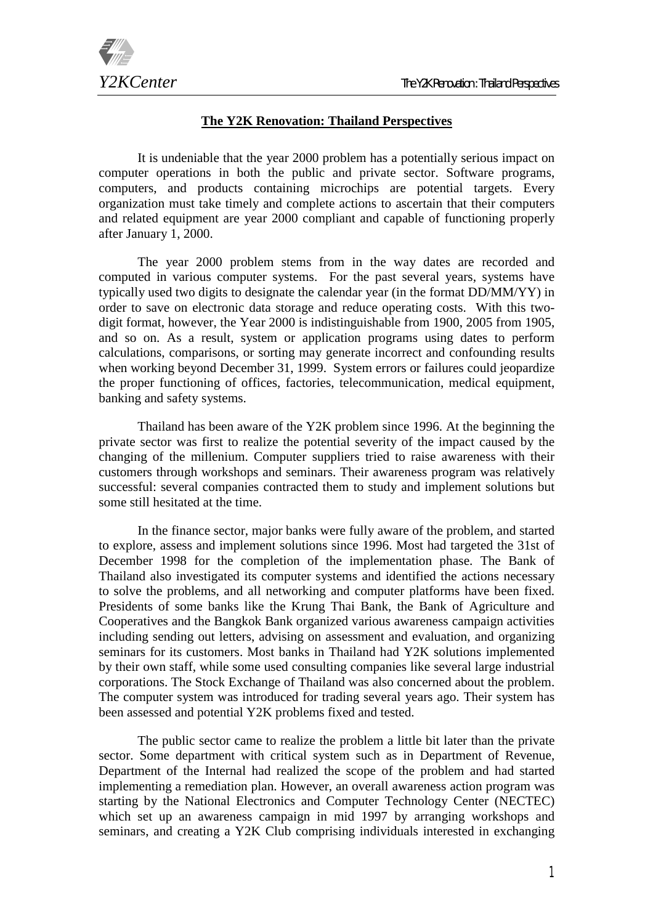

## **The Y2K Renovation: Thailand Perspectives**

It is undeniable that the year 2000 problem has a potentially serious impact on computer operations in both the public and private sector. Software programs, computers, and products containing microchips are potential targets. Every organization must take timely and complete actions to ascertain that their computers and related equipment are year 2000 compliant and capable of functioning properly after January 1, 2000.

The year 2000 problem stems from in the way dates are recorded and computed in various computer systems. For the past several years, systems have typically used two digits to designate the calendar year (in the format DD/MM/YY) in order to save on electronic data storage and reduce operating costs. With this twodigit format, however, the Year 2000 is indistinguishable from 1900, 2005 from 1905, and so on. As a result, system or application programs using dates to perform calculations, comparisons, or sorting may generate incorrect and confounding results when working beyond December 31, 1999. System errors or failures could jeopardize the proper functioning of offices, factories, telecommunication, medical equipment, banking and safety systems.

Thailand has been aware of the Y2K problem since 1996. At the beginning the private sector was first to realize the potential severity of the impact caused by the changing of the millenium. Computer suppliers tried to raise awareness with their customers through workshops and seminars. Their awareness program was relatively successful: several companies contracted them to study and implement solutions but some still hesitated at the time.

In the finance sector, major banks were fully aware of the problem, and started to explore, assess and implement solutions since 1996. Most had targeted the 31st of December 1998 for the completion of the implementation phase. The Bank of Thailand also investigated its computer systems and identified the actions necessary to solve the problems, and all networking and computer platforms have been fixed. Presidents of some banks like the Krung Thai Bank, the Bank of Agriculture and Cooperatives and the Bangkok Bank organized various awareness campaign activities including sending out letters, advising on assessment and evaluation, and organizing seminars for its customers. Most banks in Thailand had Y2K solutions implemented by their own staff, while some used consulting companies like several large industrial corporations. The Stock Exchange of Thailand was also concerned about the problem. The computer system was introduced for trading several years ago. Their system has been assessed and potential Y2K problems fixed and tested.

The public sector came to realize the problem a little bit later than the private sector. Some department with critical system such as in Department of Revenue, Department of the Internal had realized the scope of the problem and had started implementing a remediation plan. However, an overall awareness action program was starting by the National Electronics and Computer Technology Center (NECTEC) which set up an awareness campaign in mid 1997 by arranging workshops and seminars, and creating a Y2K Club comprising individuals interested in exchanging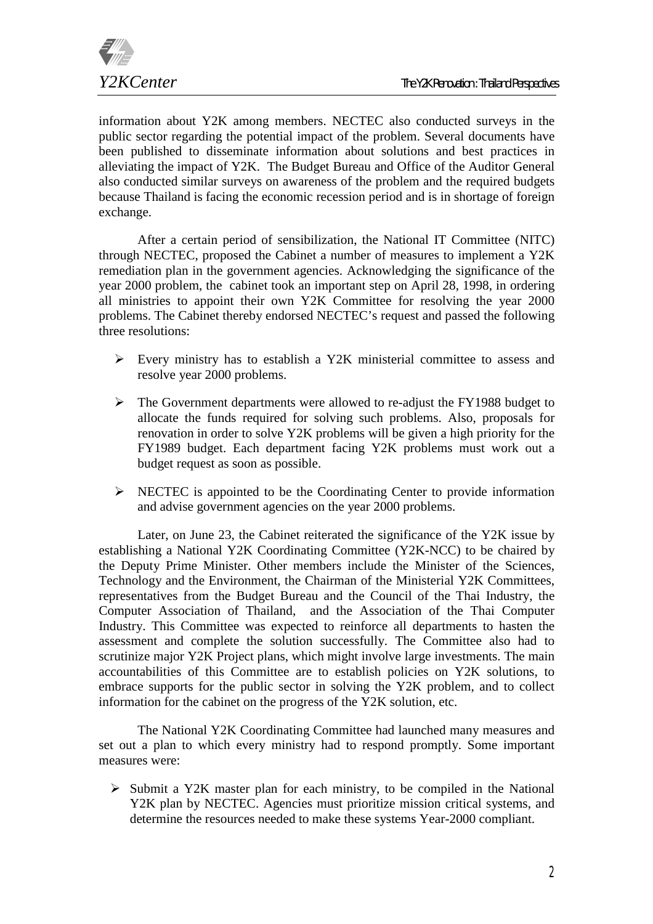

information about Y2K among members. NECTEC also conducted surveys in the public sector regarding the potential impact of the problem. Several documents have been published to disseminate information about solutions and best practices in alleviating the impact of Y2K. The Budget Bureau and Office of the Auditor General also conducted similar surveys on awareness of the problem and the required budgets because Thailand is facing the economic recession period and is in shortage of foreign exchange.

After a certain period of sensibilization, the National IT Committee (NITC) through NECTEC, proposed the Cabinet a number of measures to implement a Y2K remediation plan in the government agencies. Acknowledging the significance of the year 2000 problem, the cabinet took an important step on April 28, 1998, in ordering all ministries to appoint their own Y2K Committee for resolving the year 2000 problems. The Cabinet thereby endorsed NECTEC's request and passed the following three resolutions:

- $\triangleright$  Every ministry has to establish a Y2K ministerial committee to assess and resolve year 2000 problems.
- $\triangleright$  The Government departments were allowed to re-adjust the FY1988 budget to allocate the funds required for solving such problems. Also, proposals for renovation in order to solve Y2K problems will be given a high priority for the FY1989 budget. Each department facing Y2K problems must work out a budget request as soon as possible.
- $\triangleright$  NECTEC is appointed to be the Coordinating Center to provide information and advise government agencies on the year 2000 problems.

Later, on June 23, the Cabinet reiterated the significance of the Y2K issue by establishing a National Y2K Coordinating Committee (Y2K-NCC) to be chaired by the Deputy Prime Minister. Other members include the Minister of the Sciences, Technology and the Environment, the Chairman of the Ministerial Y2K Committees, representatives from the Budget Bureau and the Council of the Thai Industry, the Computer Association of Thailand, and the Association of the Thai Computer Industry. This Committee was expected to reinforce all departments to hasten the assessment and complete the solution successfully. The Committee also had to scrutinize major Y2K Project plans, which might involve large investments. The main accountabilities of this Committee are to establish policies on Y2K solutions, to embrace supports for the public sector in solving the Y2K problem, and to collect information for the cabinet on the progress of the Y2K solution, etc.

The National Y2K Coordinating Committee had launched many measures and set out a plan to which every ministry had to respond promptly. Some important measures were:

 $\triangleright$  Submit a Y2K master plan for each ministry, to be compiled in the National Y2K plan by NECTEC. Agencies must prioritize mission critical systems, and determine the resources needed to make these systems Year-2000 compliant.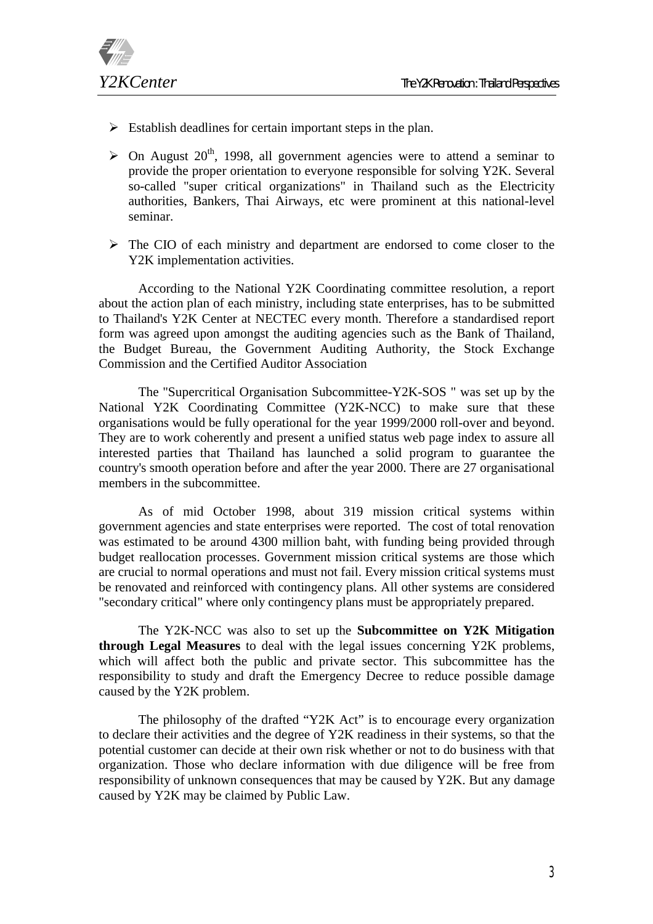

- $\triangleright$  Establish deadlines for certain important steps in the plan.
- $\geq$  On August 20<sup>th</sup>, 1998, all government agencies were to attend a seminar to provide the proper orientation to everyone responsible for solving Y2K. Several so-called "super critical organizations" in Thailand such as the Electricity authorities, Bankers, Thai Airways, etc were prominent at this national-level seminar.
- $\triangleright$  The CIO of each ministry and department are endorsed to come closer to the Y2K implementation activities.

 According to the National Y2K Coordinating committee resolution, a report about the action plan of each ministry, including state enterprises, has to be submitted to Thailand's Y2K Center at NECTEC every month. Therefore a standardised report form was agreed upon amongst the auditing agencies such as the Bank of Thailand, the Budget Bureau, the Government Auditing Authority, the Stock Exchange Commission and the Certified Auditor Association

The "Supercritical Organisation Subcommittee-Y2K-SOS " was set up by the National Y2K Coordinating Committee (Y2K-NCC) to make sure that these organisations would be fully operational for the year 1999/2000 roll-over and beyond. They are to work coherently and present a unified status web page index to assure all interested parties that Thailand has launched a solid program to guarantee the country's smooth operation before and after the year 2000. There are 27 organisational members in the subcommittee.

As of mid October 1998, about 319 mission critical systems within government agencies and state enterprises were reported. The cost of total renovation was estimated to be around 4300 million baht, with funding being provided through budget reallocation processes. Government mission critical systems are those which are crucial to normal operations and must not fail. Every mission critical systems must be renovated and reinforced with contingency plans. All other systems are considered "secondary critical" where only contingency plans must be appropriately prepared.

The Y2K-NCC was also to set up the **Subcommittee on Y2K Mitigation through Legal Measures** to deal with the legal issues concerning Y2K problems, which will affect both the public and private sector. This subcommittee has the responsibility to study and draft the Emergency Decree to reduce possible damage caused by the Y2K problem.

The philosophy of the drafted "Y2K Act" is to encourage every organization to declare their activities and the degree of Y2K readiness in their systems, so that the potential customer can decide at their own risk whether or not to do business with that organization. Those who declare information with due diligence will be free from responsibility of unknown consequences that may be caused by Y2K. But any damage caused by Y2K may be claimed by Public Law.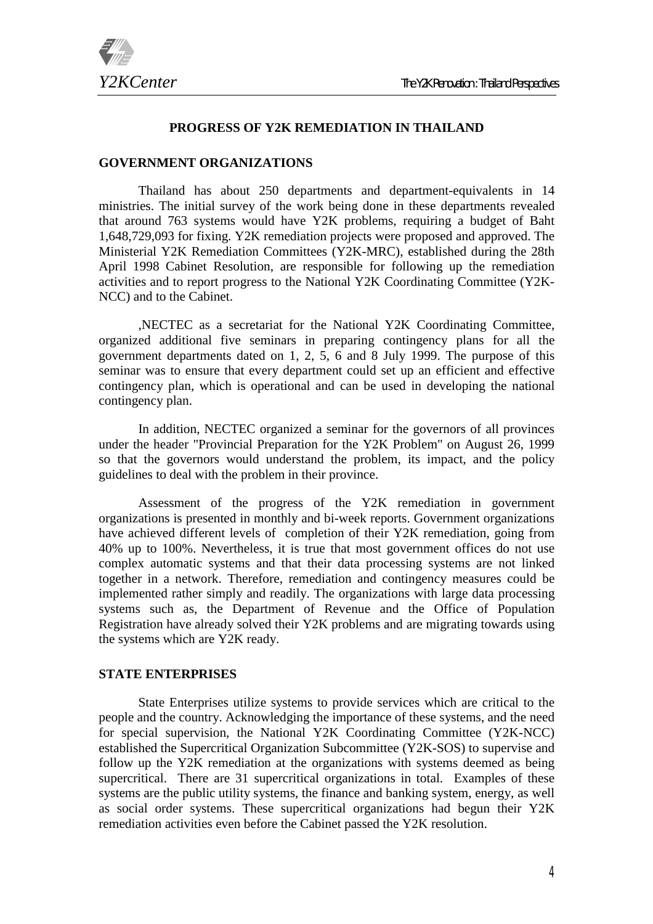

#### **PROGRESS OF Y2K REMEDIATION IN THAILAND**

## **GOVERNMENT ORGANIZATIONS**

Thailand has about 250 departments and department-equivalents in 14 ministries. The initial survey of the work being done in these departments revealed that around 763 systems would have Y2K problems, requiring a budget of Baht 1,648,729,093 for fixing. Y2K remediation projects were proposed and approved. The Ministerial Y2K Remediation Committees (Y2K-MRC), established during the 28th April 1998 Cabinet Resolution, are responsible for following up the remediation activities and to report progress to the National Y2K Coordinating Committee (Y2K-NCC) and to the Cabinet.

,NECTEC as a secretariat for the National Y2K Coordinating Committee, organized additional five seminars in preparing contingency plans for all the government departments dated on 1, 2, 5, 6 and 8 July 1999. The purpose of this seminar was to ensure that every department could set up an efficient and effective contingency plan, which is operational and can be used in developing the national contingency plan.

In addition, NECTEC organized a seminar for the governors of all provinces under the header "Provincial Preparation for the Y2K Problem" on August 26, 1999 so that the governors would understand the problem, its impact, and the policy guidelines to deal with the problem in their province.

Assessment of the progress of the Y2K remediation in government organizations is presented in monthly and bi-week reports. Government organizations have achieved different levels of completion of their Y2K remediation, going from 40% up to 100%. Nevertheless, it is true that most government offices do not use complex automatic systems and that their data processing systems are not linked together in a network. Therefore, remediation and contingency measures could be implemented rather simply and readily. The organizations with large data processing systems such as, the Department of Revenue and the Office of Population Registration have already solved their Y2K problems and are migrating towards using the systems which are Y2K ready.

#### **STATE ENTERPRISES**

State Enterprises utilize systems to provide services which are critical to the people and the country. Acknowledging the importance of these systems, and the need for special supervision, the National Y2K Coordinating Committee (Y2K-NCC) established the Supercritical Organization Subcommittee (Y2K-SOS) to supervise and follow up the Y2K remediation at the organizations with systems deemed as being supercritical. There are 31 supercritical organizations in total. Examples of these systems are the public utility systems, the finance and banking system, energy, as well as social order systems. These supercritical organizations had begun their Y2K remediation activities even before the Cabinet passed the Y2K resolution.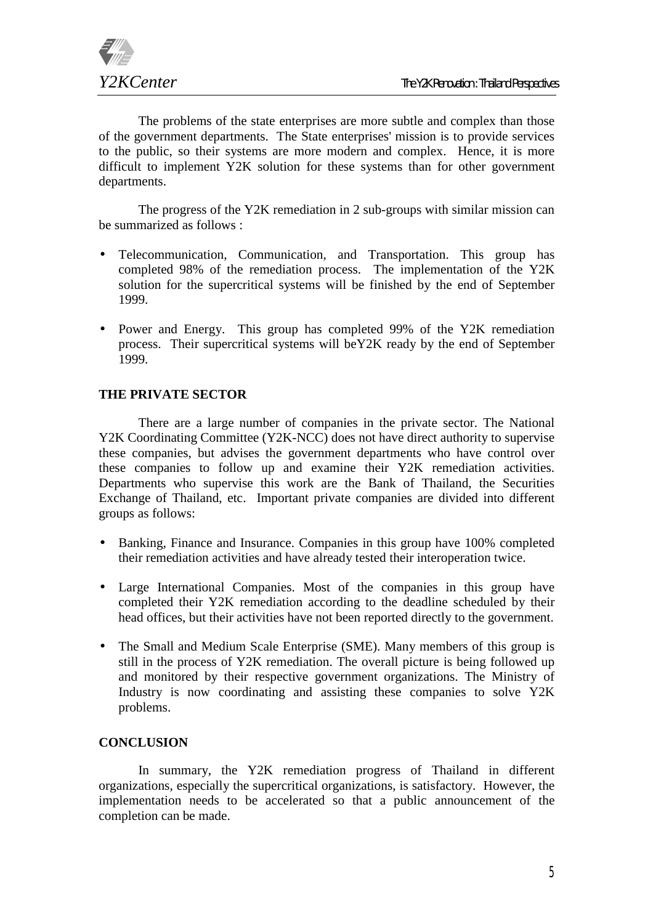

The problems of the state enterprises are more subtle and complex than those of the government departments. The State enterprises' mission is to provide services to the public, so their systems are more modern and complex. Hence, it is more difficult to implement Y2K solution for these systems than for other government departments.

The progress of the Y2K remediation in 2 sub-groups with similar mission can be summarized as follows :

- Telecommunication, Communication, and Transportation. This group has completed 98% of the remediation process. The implementation of the Y2K solution for the supercritical systems will be finished by the end of September 1999.
- Power and Energy. This group has completed 99% of the Y2K remediation process. Their supercritical systems will beY2K ready by the end of September 1999.

## **THE PRIVATE SECTOR**

There are a large number of companies in the private sector. The National Y2K Coordinating Committee (Y2K-NCC) does not have direct authority to supervise these companies, but advises the government departments who have control over these companies to follow up and examine their Y2K remediation activities. Departments who supervise this work are the Bank of Thailand, the Securities Exchange of Thailand, etc. Important private companies are divided into different groups as follows:

- Banking, Finance and Insurance. Companies in this group have 100% completed their remediation activities and have already tested their interoperation twice.
- Large International Companies. Most of the companies in this group have completed their Y2K remediation according to the deadline scheduled by their head offices, but their activities have not been reported directly to the government.
- The Small and Medium Scale Enterprise (SME). Many members of this group is still in the process of Y2K remediation. The overall picture is being followed up and monitored by their respective government organizations. The Ministry of Industry is now coordinating and assisting these companies to solve Y2K problems.

## **CONCLUSION**

In summary, the Y2K remediation progress of Thailand in different organizations, especially the supercritical organizations, is satisfactory. However, the implementation needs to be accelerated so that a public announcement of the completion can be made.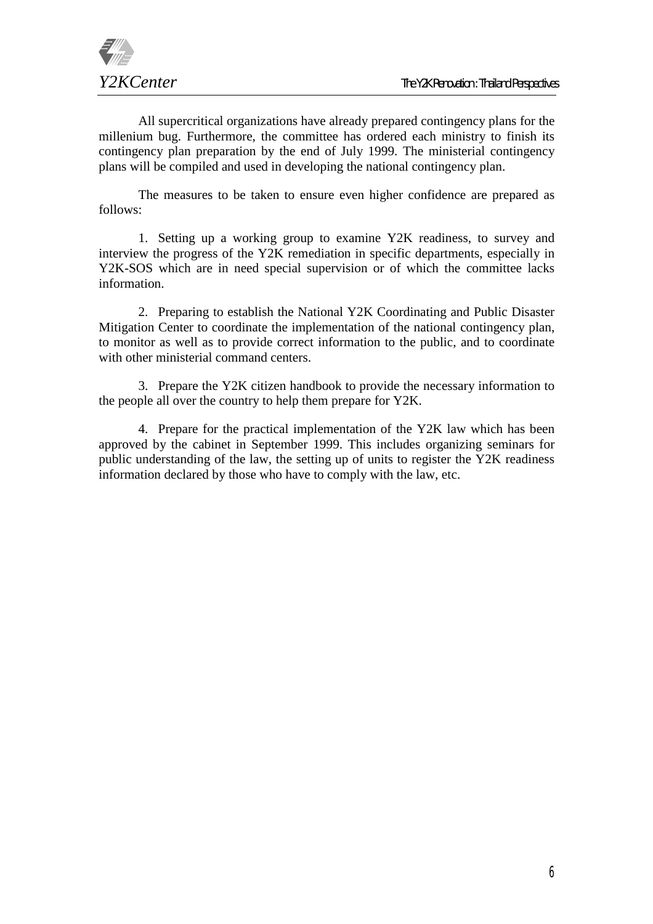

All supercritical organizations have already prepared contingency plans for the millenium bug. Furthermore, the committee has ordered each ministry to finish its contingency plan preparation by the end of July 1999. The ministerial contingency plans will be compiled and used in developing the national contingency plan.

The measures to be taken to ensure even higher confidence are prepared as follows:

1. Setting up a working group to examine Y2K readiness, to survey and interview the progress of the Y2K remediation in specific departments, especially in Y2K-SOS which are in need special supervision or of which the committee lacks information.

2. Preparing to establish the National Y2K Coordinating and Public Disaster Mitigation Center to coordinate the implementation of the national contingency plan, to monitor as well as to provide correct information to the public, and to coordinate with other ministerial command centers.

3. Prepare the Y2K citizen handbook to provide the necessary information to the people all over the country to help them prepare for Y2K.

4. Prepare for the practical implementation of the Y2K law which has been approved by the cabinet in September 1999. This includes organizing seminars for public understanding of the law, the setting up of units to register the Y2K readiness information declared by those who have to comply with the law, etc.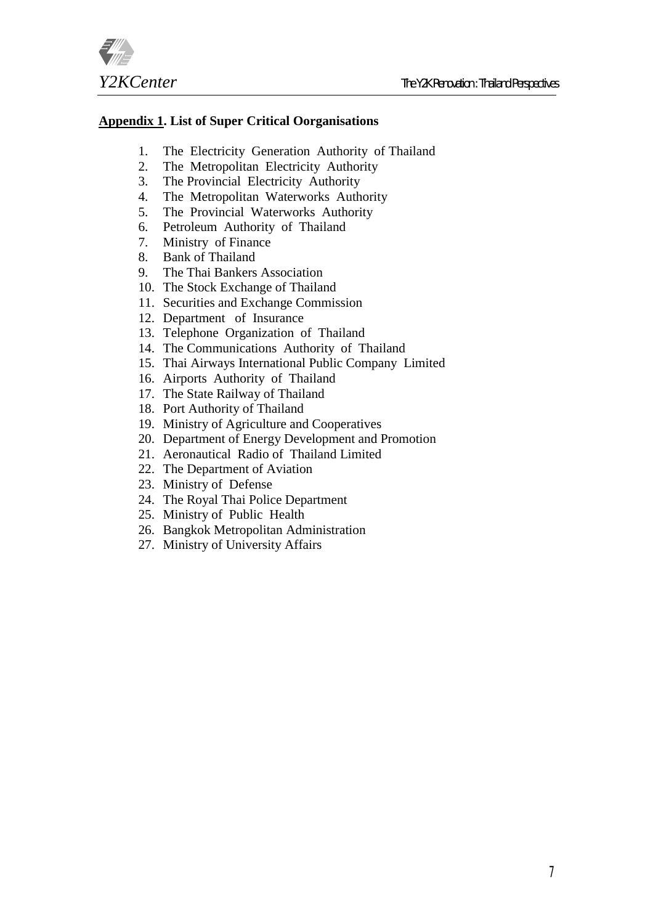

# **Appendix 1. List of Super Critical Oorganisations**

- 1. The Electricity Generation Authority of Thailand
- 2. The Metropolitan Electricity Authority
- 3. The Provincial Electricity Authority
- 4. The Metropolitan Waterworks Authority
- 5. The Provincial Waterworks Authority
- 6. Petroleum Authority of Thailand
- 7. Ministry of Finance
- 8. Bank of Thailand
- 9. The Thai Bankers Association
- 10. The Stock Exchange of Thailand
- 11. Securities and Exchange Commission
- 12. Department of Insurance
- 13. Telephone Organization of Thailand
- 14. The Communications Authority of Thailand
- 15. Thai Airways International Public Company Limited
- 16. Airports Authority of Thailand
- 17. The State Railway of Thailand
- 18. Port Authority of Thailand
- 19. Ministry of Agriculture and Cooperatives
- 20. Department of Energy Development and Promotion
- 21. Aeronautical Radio of Thailand Limited
- 22. The Department of Aviation
- 23. Ministry of Defense
- 24. The Royal Thai Police Department
- 25. Ministry of Public Health
- 26. Bangkok Metropolitan Administration
- 27. Ministry of University Affairs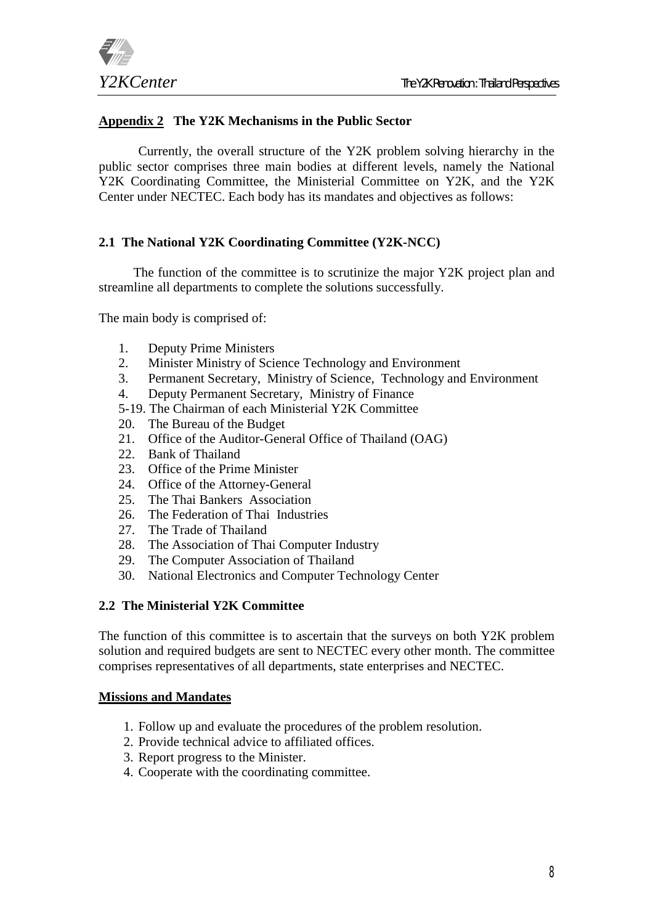

# **Appendix 2 The Y2K Mechanisms in the Public Sector**

Currently, the overall structure of the Y2K problem solving hierarchy in the public sector comprises three main bodies at different levels, namely the National Y2K Coordinating Committee, the Ministerial Committee on Y2K, and the Y2K Center under NECTEC. Each body has its mandates and objectives as follows:

## **2.1 The National Y2K Coordinating Committee (Y2K-NCC)**

The function of the committee is to scrutinize the major Y2K project plan and streamline all departments to complete the solutions successfully.

The main body is comprised of:

- 1. Deputy Prime Ministers
- 2. Minister Ministry of Science Technology and Environment
- 3. Permanent Secretary, Ministry of Science, Technology and Environment
- 4. Deputy Permanent Secretary, Ministry of Finance
- 5-19. The Chairman of each Ministerial Y2K Committee
- 20. The Bureau of the Budget
- 21. Office of the Auditor-General Office of Thailand (OAG)
- 22. Bank of Thailand
- 23. Office of the Prime Minister
- 24. Office of the Attorney-General
- 25. The Thai Bankers Association
- 26. The Federation of Thai Industries
- 27. The Trade of Thailand
- 28. The Association of Thai Computer Industry
- 29. The Computer Association of Thailand
- 30. National Electronics and Computer Technology Center

## **2.2 The Ministerial Y2K Committee**

The function of this committee is to ascertain that the surveys on both Y2K problem solution and required budgets are sent to NECTEC every other month. The committee comprises representatives of all departments, state enterprises and NECTEC.

#### **Missions and Mandates**

- 1. Follow up and evaluate the procedures of the problem resolution.
- 2. Provide technical advice to affiliated offices.
- 3. Report progress to the Minister.
- 4. Cooperate with the coordinating committee.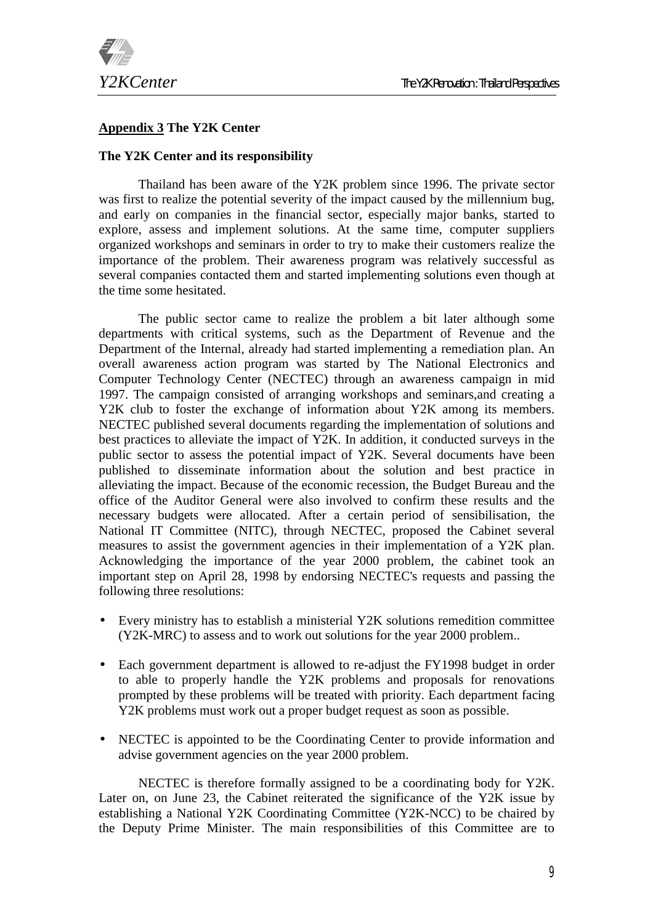

## **Appendix 3 The Y2K Center**

#### **The Y2K Center and its responsibility**

Thailand has been aware of the Y2K problem since 1996. The private sector was first to realize the potential severity of the impact caused by the millennium bug, and early on companies in the financial sector, especially major banks, started to explore, assess and implement solutions. At the same time, computer suppliers organized workshops and seminars in order to try to make their customers realize the importance of the problem. Their awareness program was relatively successful as several companies contacted them and started implementing solutions even though at the time some hesitated.

The public sector came to realize the problem a bit later although some departments with critical systems, such as the Department of Revenue and the Department of the Internal, already had started implementing a remediation plan. An overall awareness action program was started by The National Electronics and Computer Technology Center (NECTEC) through an awareness campaign in mid 1997. The campaign consisted of arranging workshops and seminars,and creating a Y2K club to foster the exchange of information about Y2K among its members. NECTEC published several documents regarding the implementation of solutions and best practices to alleviate the impact of Y2K. In addition, it conducted surveys in the public sector to assess the potential impact of Y2K. Several documents have been published to disseminate information about the solution and best practice in alleviating the impact. Because of the economic recession, the Budget Bureau and the office of the Auditor General were also involved to confirm these results and the necessary budgets were allocated. After a certain period of sensibilisation, the National IT Committee (NITC), through NECTEC, proposed the Cabinet several measures to assist the government agencies in their implementation of a Y2K plan. Acknowledging the importance of the year 2000 problem, the cabinet took an important step on April 28, 1998 by endorsing NECTEC's requests and passing the following three resolutions:

- Every ministry has to establish a ministerial Y2K solutions remedition committee (Y2K-MRC) to assess and to work out solutions for the year 2000 problem..
- Each government department is allowed to re-adjust the FY1998 budget in order to able to properly handle the Y2K problems and proposals for renovations prompted by these problems will be treated with priority. Each department facing Y2K problems must work out a proper budget request as soon as possible.
- NECTEC is appointed to be the Coordinating Center to provide information and advise government agencies on the year 2000 problem.

NECTEC is therefore formally assigned to be a coordinating body for Y2K. Later on, on June 23, the Cabinet reiterated the significance of the Y2K issue by establishing a National Y2K Coordinating Committee (Y2K-NCC) to be chaired by the Deputy Prime Minister. The main responsibilities of this Committee are to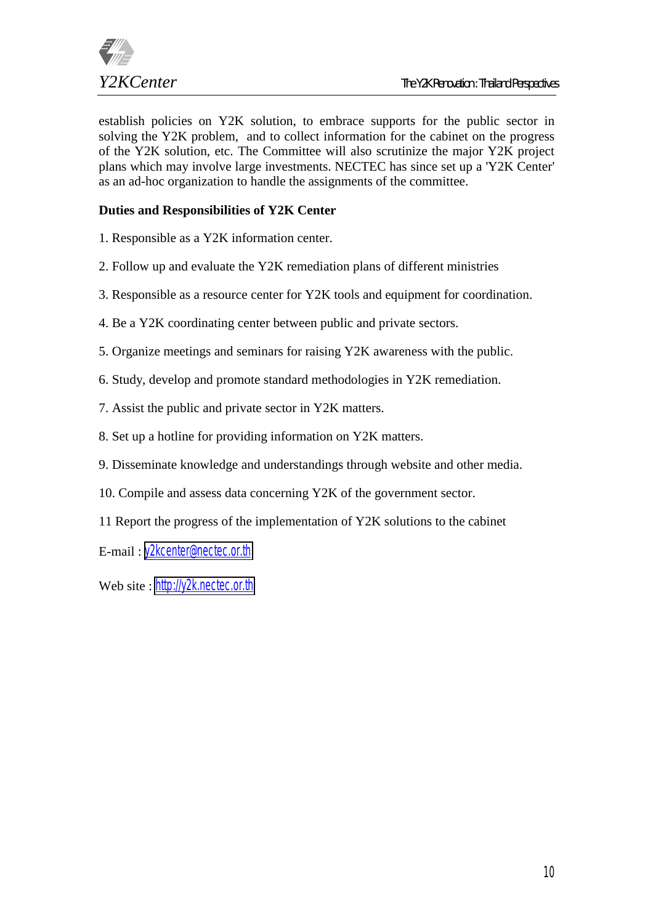

establish policies on Y2K solution, to embrace supports for the public sector in solving the Y2K problem, and to collect information for the cabinet on the progress of the Y2K solution, etc. The Committee will also scrutinize the major Y2K project plans which may involve large investments. NECTEC has since set up a 'Y2K Center' as an ad-hoc organization to handle the assignments of the committee.

# **Duties and Responsibilities of Y2K Center**

- 1. Responsible as a Y2K information center.
- 2. Follow up and evaluate the Y2K remediation plans of different ministries
- 3. Responsible as a resource center for Y2K tools and equipment for coordination.
- 4. Be a Y2K coordinating center between public and private sectors.
- 5. Organize meetings and seminars for raising Y2K awareness with the public.
- 6. Study, develop and promote standard methodologies in Y2K remediation.
- 7. Assist the public and private sector in Y2K matters.
- 8. Set up a hotline for providing information on Y2K matters.
- 9. Disseminate knowledge and understandings through website and other media.
- 10. Compile and assess data concerning Y2K of the government sector.
- 11 Report the progress of the implementation of Y2K solutions to the cabinet

E-mail : [y2kcenter@nectec.or.th](mailto:y2kcenter@nectec.or.th)

Web site : [http://y2k.nectec.or.th](http://y2k.nectec.or.th/)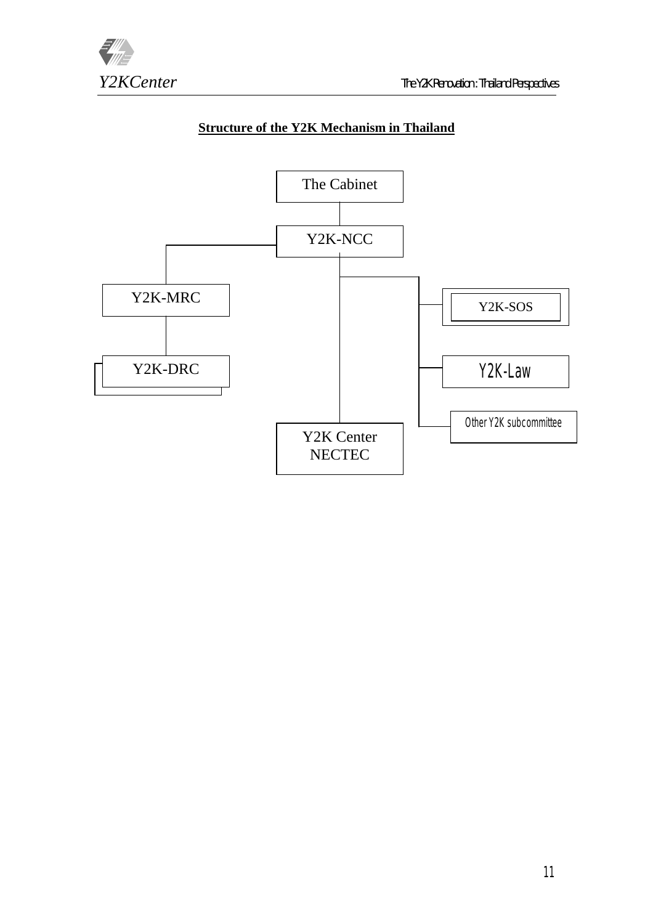

# **Structure of the Y2K Mechanism in Thailand**

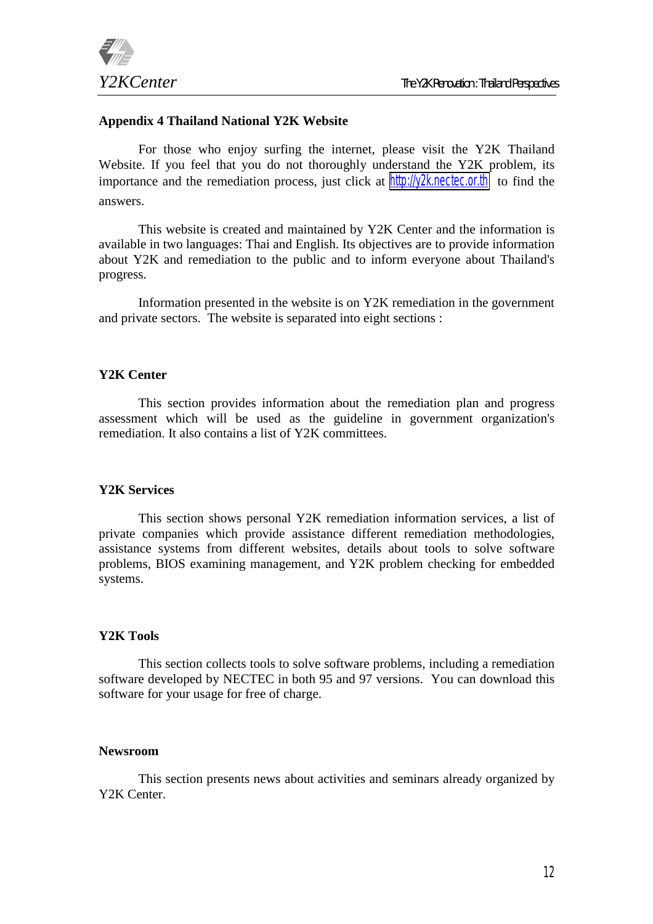

#### **Appendix 4 Thailand National Y2K Website**

For those who enjoy surfing the internet, please visit the Y2K Thailand Website. If you feel that you do not thoroughly understand the Y2K problem, its importance and the remediation process, just click at [http://y2k.nectec.or.th](http://y2k.nectec.or.th/) to find the answers.

This website is created and maintained by Y2K Center and the information is available in two languages: Thai and English. Its objectives are to provide information about Y2K and remediation to the public and to inform everyone about Thailand's progress.

Information presented in the website is on Y2K remediation in the government and private sectors. The website is separated into eight sections :

#### **Y2K Center**

This section provides information about the remediation plan and progress assessment which will be used as the guideline in government organization's remediation. It also contains a list of Y2K committees.

#### **Y2K Services**

This section shows personal Y2K remediation information services, a list of private companies which provide assistance different remediation methodologies, assistance systems from different websites, details about tools to solve software problems, BIOS examining management, and Y2K problem checking for embedded systems.

## **Y2K Tools**

This section collects tools to solve software problems, including a remediation software developed by NECTEC in both 95 and 97 versions. You can download this software for your usage for free of charge.

#### **Newsroom**

This section presents news about activities and seminars already organized by Y2K Center.